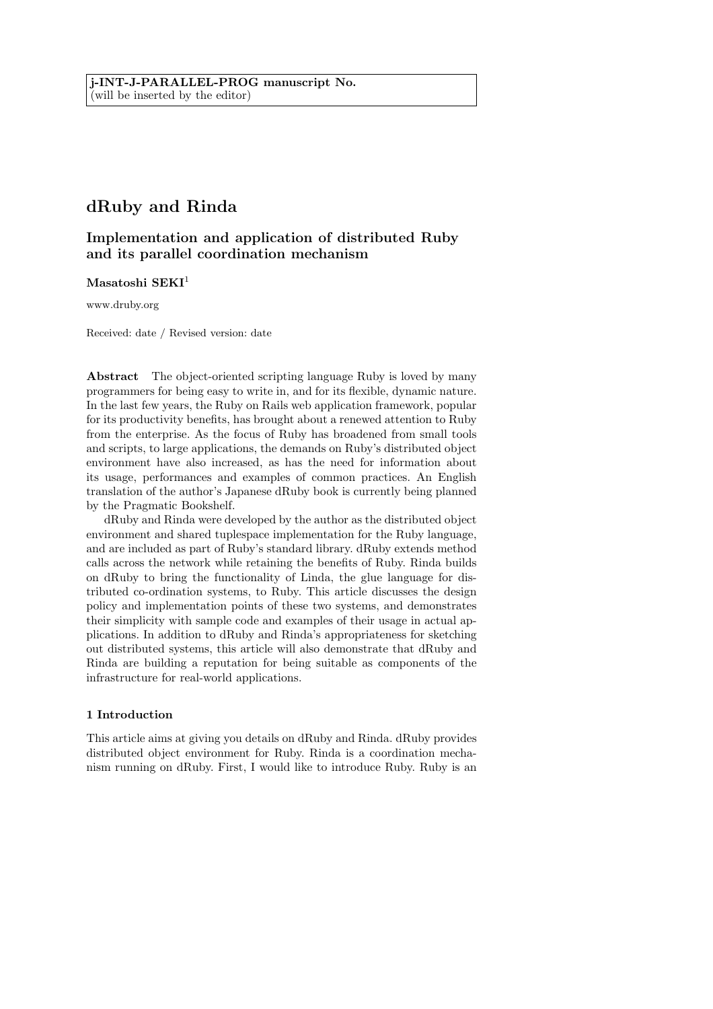# Implementation and application of distributed Ruby and its parallel coordination mechanism

# Masatoshi SEKI<sup>1</sup>

www.druby.org

Received: date / Revised version: date

Abstract The object-oriented scripting language Ruby is loved by many programmers for being easy to write in, and for its flexible, dynamic nature. In the last few years, the Ruby on Rails web application framework, popular for its productivity benefits, has brought about a renewed attention to Ruby from the enterprise. As the focus of Ruby has broadened from small tools and scripts, to large applications, the demands on Ruby's distributed object environment have also increased, as has the need for information about its usage, performances and examples of common practices. An English translation of the author's Japanese dRuby book is currently being planned by the Pragmatic Bookshelf.

dRuby and Rinda were developed by the author as the distributed object environment and shared tuplespace implementation for the Ruby language, and are included as part of Ruby's standard library. dRuby extends method calls across the network while retaining the benefits of Ruby. Rinda builds on dRuby to bring the functionality of Linda, the glue language for distributed co-ordination systems, to Ruby. This article discusses the design policy and implementation points of these two systems, and demonstrates their simplicity with sample code and examples of their usage in actual applications. In addition to dRuby and Rinda's appropriateness for sketching out distributed systems, this article will also demonstrate that dRuby and Rinda are building a reputation for being suitable as components of the infrastructure for real-world applications.

## 1 Introduction

This article aims at giving you details on dRuby and Rinda. dRuby provides distributed object environment for Ruby. Rinda is a coordination mechanism running on dRuby. First, I would like to introduce Ruby. Ruby is an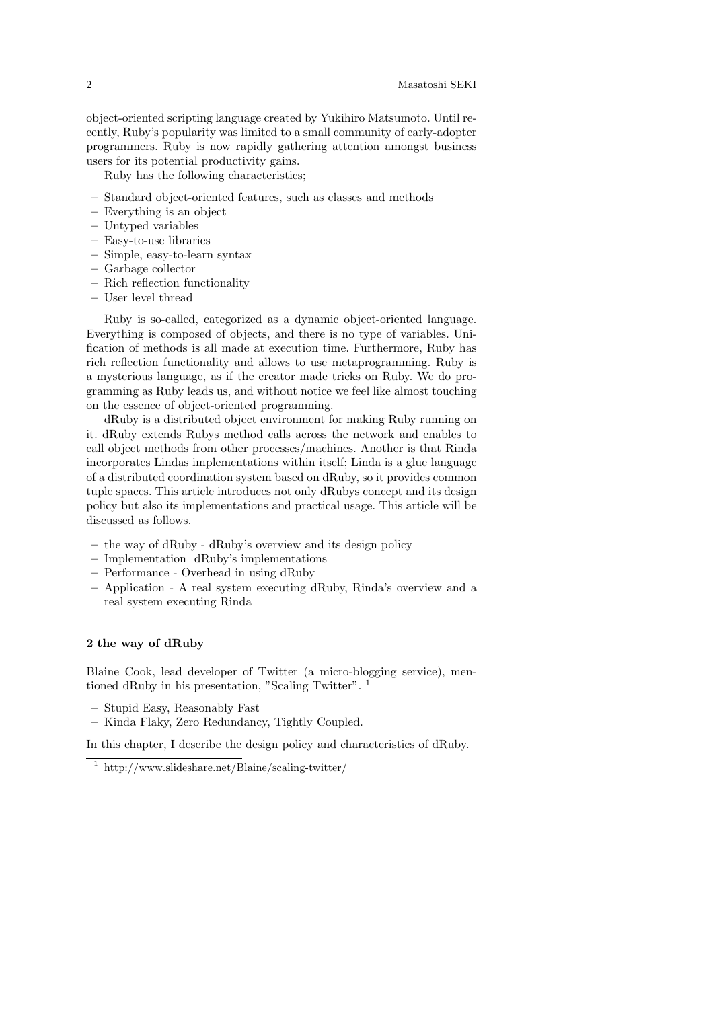object-oriented scripting language created by Yukihiro Matsumoto. Until recently, Ruby's popularity was limited to a small community of early-adopter programmers. Ruby is now rapidly gathering attention amongst business users for its potential productivity gains.

Ruby has the following characteristics;

- Standard object-oriented features, such as classes and methods
- Everything is an object
- Untyped variables
- Easy-to-use libraries
- Simple, easy-to-learn syntax
- Garbage collector
- Rich reflection functionality
- User level thread

Ruby is so-called, categorized as a dynamic object-oriented language. Everything is composed of objects, and there is no type of variables. Unification of methods is all made at execution time. Furthermore, Ruby has rich reflection functionality and allows to use metaprogramming. Ruby is a mysterious language, as if the creator made tricks on Ruby. We do programming as Ruby leads us, and without notice we feel like almost touching on the essence of object-oriented programming.

dRuby is a distributed object environment for making Ruby running on it. dRuby extends Rubys method calls across the network and enables to call object methods from other processes/machines. Another is that Rinda incorporates Lindas implementations within itself; Linda is a glue language of a distributed coordination system based on dRuby, so it provides common tuple spaces. This article introduces not only dRubys concept and its design policy but also its implementations and practical usage. This article will be discussed as follows.

- the way of dRuby dRuby's overview and its design policy
- Implementation dRuby's implementations
- Performance Overhead in using dRuby
- Application A real system executing dRuby, Rinda's overview and a real system executing Rinda

# 2 the way of dRuby

Blaine Cook, lead developer of Twitter (a micro-blogging service), mentioned dRuby in his presentation, "Scaling Twitter". <sup>1</sup>

- Stupid Easy, Reasonably Fast
- Kinda Flaky, Zero Redundancy, Tightly Coupled.

In this chapter, I describe the design policy and characteristics of dRuby.

<sup>1</sup> http://www.slideshare.net/Blaine/scaling-twitter/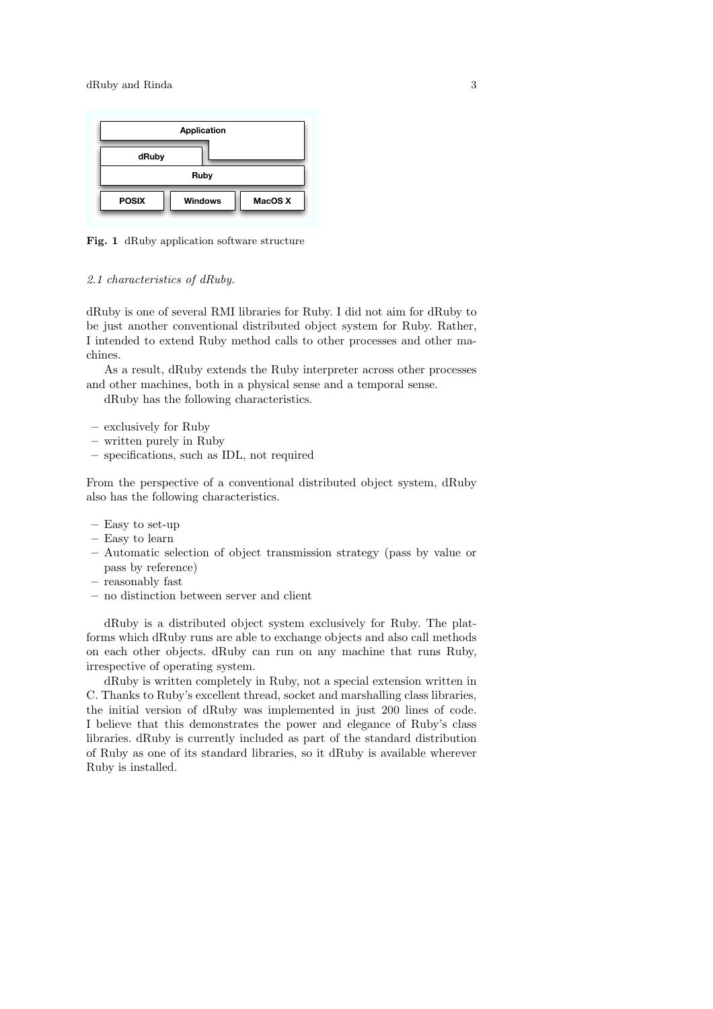

Fig. 1 dRuby application software structure

#### 2.1 characteristics of dRuby.

dRuby is one of several RMI libraries for Ruby. I did not aim for dRuby to be just another conventional distributed object system for Ruby. Rather, I intended to extend Ruby method calls to other processes and other machines.

As a result, dRuby extends the Ruby interpreter across other processes and other machines, both in a physical sense and a temporal sense.

dRuby has the following characteristics.

- exclusively for Ruby
- written purely in Ruby
- specifications, such as IDL, not required

From the perspective of a conventional distributed object system, dRuby also has the following characteristics.

- Easy to set-up
- Easy to learn
- Automatic selection of object transmission strategy (pass by value or pass by reference)
- reasonably fast
- no distinction between server and client

dRuby is a distributed object system exclusively for Ruby. The platforms which dRuby runs are able to exchange objects and also call methods on each other objects. dRuby can run on any machine that runs Ruby, irrespective of operating system.

dRuby is written completely in Ruby, not a special extension written in C. Thanks to Ruby's excellent thread, socket and marshalling class libraries, the initial version of dRuby was implemented in just 200 lines of code. I believe that this demonstrates the power and elegance of Ruby's class libraries. dRuby is currently included as part of the standard distribution of Ruby as one of its standard libraries, so it dRuby is available wherever Ruby is installed.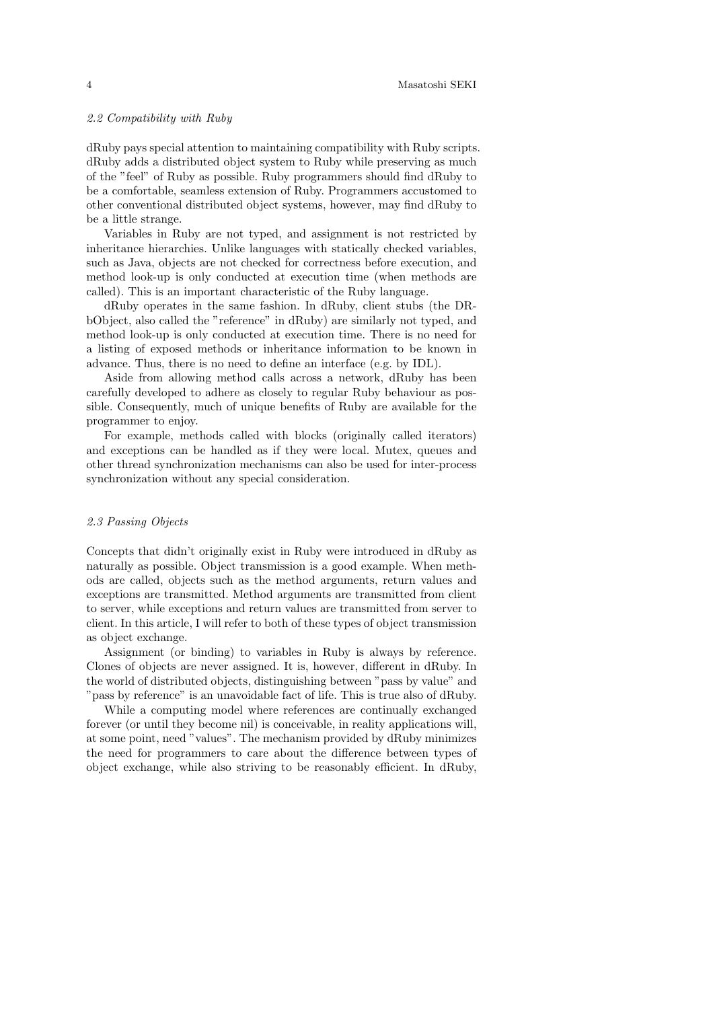#### 2.2 Compatibility with Ruby

dRuby pays special attention to maintaining compatibility with Ruby scripts. dRuby adds a distributed object system to Ruby while preserving as much of the "feel" of Ruby as possible. Ruby programmers should find dRuby to be a comfortable, seamless extension of Ruby. Programmers accustomed to other conventional distributed object systems, however, may find dRuby to be a little strange.

Variables in Ruby are not typed, and assignment is not restricted by inheritance hierarchies. Unlike languages with statically checked variables, such as Java, objects are not checked for correctness before execution, and method look-up is only conducted at execution time (when methods are called). This is an important characteristic of the Ruby language.

dRuby operates in the same fashion. In dRuby, client stubs (the DRbObject, also called the "reference" in dRuby) are similarly not typed, and method look-up is only conducted at execution time. There is no need for a listing of exposed methods or inheritance information to be known in advance. Thus, there is no need to define an interface (e.g. by IDL).

Aside from allowing method calls across a network, dRuby has been carefully developed to adhere as closely to regular Ruby behaviour as possible. Consequently, much of unique benefits of Ruby are available for the programmer to enjoy.

For example, methods called with blocks (originally called iterators) and exceptions can be handled as if they were local. Mutex, queues and other thread synchronization mechanisms can also be used for inter-process synchronization without any special consideration.

#### 2.3 Passing Objects

Concepts that didn't originally exist in Ruby were introduced in dRuby as naturally as possible. Object transmission is a good example. When methods are called, objects such as the method arguments, return values and exceptions are transmitted. Method arguments are transmitted from client to server, while exceptions and return values are transmitted from server to client. In this article, I will refer to both of these types of object transmission as object exchange.

Assignment (or binding) to variables in Ruby is always by reference. Clones of objects are never assigned. It is, however, different in dRuby. In the world of distributed objects, distinguishing between "pass by value" and "pass by reference" is an unavoidable fact of life. This is true also of dRuby.

While a computing model where references are continually exchanged forever (or until they become nil) is conceivable, in reality applications will, at some point, need "values". The mechanism provided by dRuby minimizes the need for programmers to care about the difference between types of object exchange, while also striving to be reasonably efficient. In dRuby,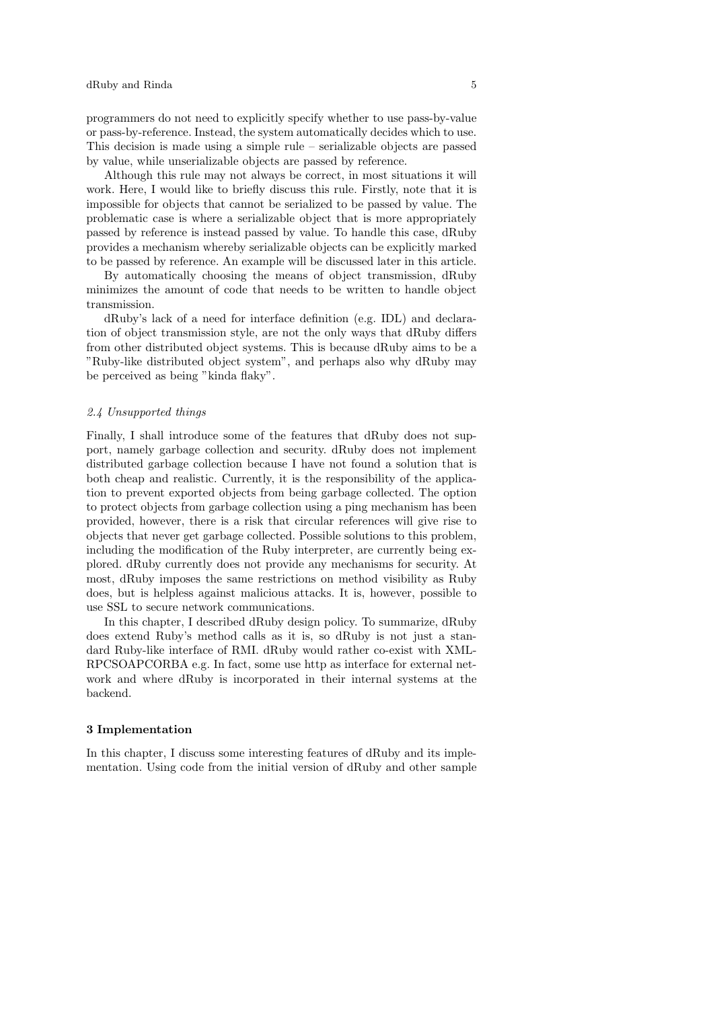programmers do not need to explicitly specify whether to use pass-by-value or pass-by-reference. Instead, the system automatically decides which to use. This decision is made using a simple rule – serializable objects are passed by value, while unserializable objects are passed by reference.

Although this rule may not always be correct, in most situations it will work. Here, I would like to briefly discuss this rule. Firstly, note that it is impossible for objects that cannot be serialized to be passed by value. The problematic case is where a serializable object that is more appropriately passed by reference is instead passed by value. To handle this case, dRuby provides a mechanism whereby serializable objects can be explicitly marked to be passed by reference. An example will be discussed later in this article.

By automatically choosing the means of object transmission, dRuby minimizes the amount of code that needs to be written to handle object transmission.

dRuby's lack of a need for interface definition (e.g. IDL) and declaration of object transmission style, are not the only ways that dRuby differs from other distributed object systems. This is because dRuby aims to be a "Ruby-like distributed object system", and perhaps also why dRuby may be perceived as being "kinda flaky".

#### 2.4 Unsupported things

Finally, I shall introduce some of the features that dRuby does not support, namely garbage collection and security. dRuby does not implement distributed garbage collection because I have not found a solution that is both cheap and realistic. Currently, it is the responsibility of the application to prevent exported objects from being garbage collected. The option to protect objects from garbage collection using a ping mechanism has been provided, however, there is a risk that circular references will give rise to objects that never get garbage collected. Possible solutions to this problem, including the modification of the Ruby interpreter, are currently being explored. dRuby currently does not provide any mechanisms for security. At most, dRuby imposes the same restrictions on method visibility as Ruby does, but is helpless against malicious attacks. It is, however, possible to use SSL to secure network communications.

In this chapter, I described dRuby design policy. To summarize, dRuby does extend Ruby's method calls as it is, so dRuby is not just a standard Ruby-like interface of RMI. dRuby would rather co-exist with XML-RPCSOAPCORBA e.g. In fact, some use http as interface for external network and where dRuby is incorporated in their internal systems at the backend.

#### 3 Implementation

In this chapter, I discuss some interesting features of dRuby and its implementation. Using code from the initial version of dRuby and other sample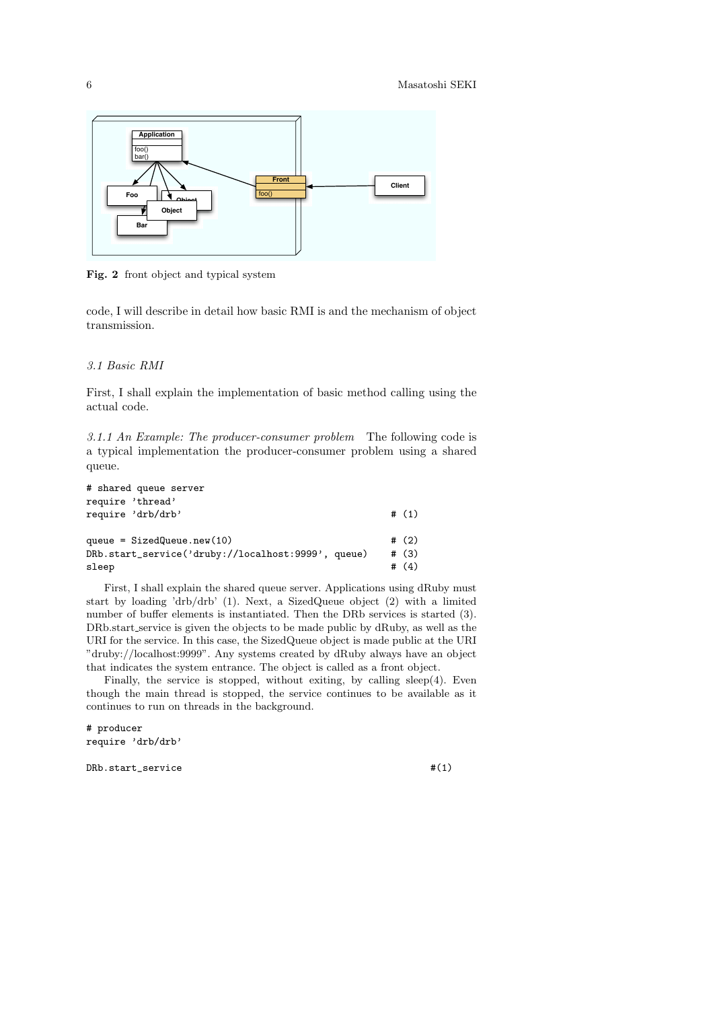

Fig. 2 front object and typical system

code, I will describe in detail how basic RMI is and the mechanism of object transmission.

# 3.1 Basic RMI

First, I shall explain the implementation of basic method calling using the actual code.

3.1.1 An Example: The producer-consumer problem The following code is a typical implementation the producer-consumer problem using a shared queue.

| # shared queue server                              |         |
|----------------------------------------------------|---------|
| require 'thread'                                   |         |
| require 'drb/drb'                                  | #(1)    |
|                                                    |         |
| queue = $SizedQueue.new(10)$                       | # (2)   |
| DRb.start_service('druby://localhost:9999', queue) | # (3)   |
| sleep                                              | # $(4)$ |

First, I shall explain the shared queue server. Applications using dRuby must start by loading 'drb/drb' (1). Next, a SizedQueue object (2) with a limited number of buffer elements is instantiated. Then the DRb services is started (3). DRb.start service is given the objects to be made public by dRuby, as well as the URI for the service. In this case, the SizedQueue object is made public at the URI "druby://localhost:9999". Any systems created by dRuby always have an object that indicates the system entrance. The object is called as a front object.

Finally, the service is stopped, without exiting, by calling sleep(4). Even though the main thread is stopped, the service continues to be available as it continues to run on threads in the background.

```
# producer
require 'drb/drb'
```
DRb.start\_service #(1)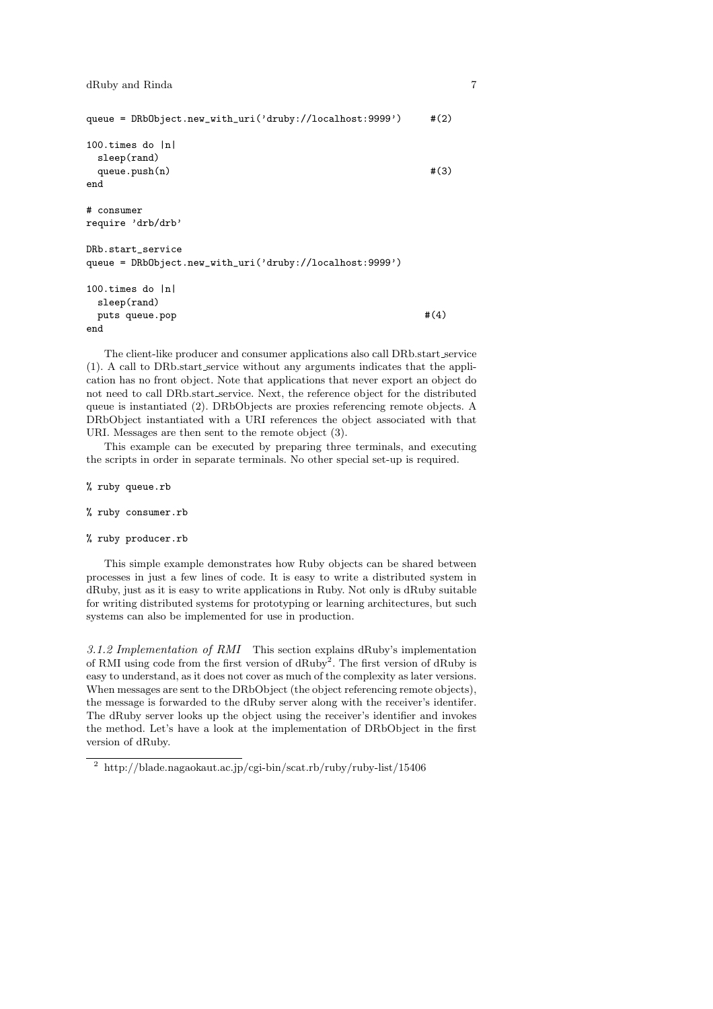```
queue = DRbObject.new_with_uri('druby://localhost:9999') #(2)
100.times do |n|
 sleep(rand)
 queue.push(n) #(3)end
# consumer
require 'drb/drb'
DRb.start_service
queue = DRbObject.new_with_uri('druby://localhost:9999')
100.times do |n|
 sleep(rand)
 puts queue.pop \#(4)end
```
The client-like producer and consumer applications also call DRb.start service (1). A call to DRb.start service without any arguments indicates that the application has no front object. Note that applications that never export an object do not need to call DRb.start service. Next, the reference object for the distributed queue is instantiated (2). DRbObjects are proxies referencing remote objects. A DRbObject instantiated with a URI references the object associated with that URI. Messages are then sent to the remote object (3).

This example can be executed by preparing three terminals, and executing the scripts in order in separate terminals. No other special set-up is required.

- % ruby queue.rb
- % ruby consumer.rb
- % ruby producer.rb

This simple example demonstrates how Ruby objects can be shared between processes in just a few lines of code. It is easy to write a distributed system in dRuby, just as it is easy to write applications in Ruby. Not only is dRuby suitable for writing distributed systems for prototyping or learning architectures, but such systems can also be implemented for use in production.

 $3.1.2\; Implementation$  of  $RMI$   $\;$  This section explains dRuby's implementation of RMI using code from the first version of dRuby<sup>2</sup>. The first version of dRuby is easy to understand, as it does not cover as much of the complexity as later versions. When messages are sent to the DRbObject (the object referencing remote objects), the message is forwarded to the dRuby server along with the receiver's identifer. The dRuby server looks up the object using the receiver's identifier and invokes the method. Let's have a look at the implementation of DRbObject in the first version of dRuby.

<sup>2</sup> http://blade.nagaokaut.ac.jp/cgi-bin/scat.rb/ruby/ruby-list/15406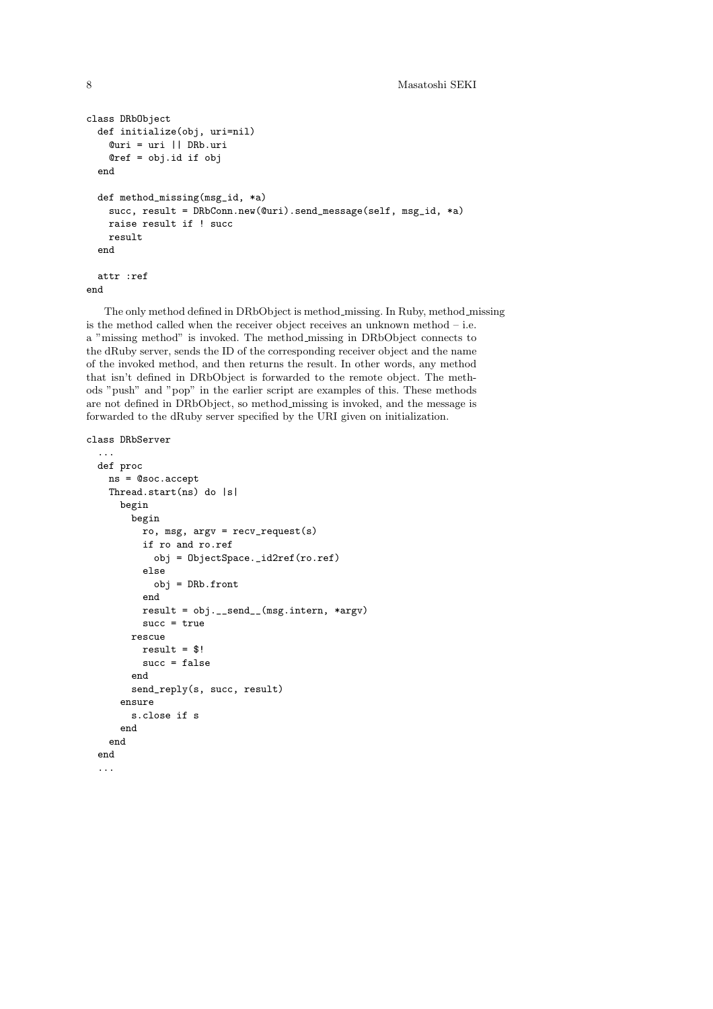```
class DRbObject
 def initialize(obj, uri=nil)
    @uri = uri || DRb.uri
    @ref = obj.id if obj
  end
 def method_missing(msg_id, *a)
    succ, result = DRbConn.new(@uri).send_message(self, msg_id, *a)
   raise result if ! succ
   result
  end
 attr :ref
end
```
The only method defined in DRbObject is method missing. In Ruby, method missing is the method called when the receiver object receives an unknown method – i.e. a "missing method" is invoked. The method missing in DRbObject connects to the dRuby server, sends the ID of the corresponding receiver object and the name of the invoked method, and then returns the result. In other words, any method that isn't defined in DRbObject is forwarded to the remote object. The methods "push" and "pop" in the earlier script are examples of this. These methods are not defined in DRbObject, so method missing is invoked, and the message is forwarded to the dRuby server specified by the URI given on initialization.

```
class DRbServer
```

```
...
def proc
 ns = @soc.accept
 Thread.start(ns) do |s|
    begin
      begin
        ro, msg, argv = recv_request(s)
        if ro and ro.ref
          obj = ObjectSpace._id2ref(ro.ref)
        else
          obj = DRb.front
        end
        result = obj.__send__(msg.intern, *argv)
        succ = true
      rescue
        result = $!succ = falseend
      send_reply(s, succ, result)
    ensure
      s.close if s
    end
  end
end
...
```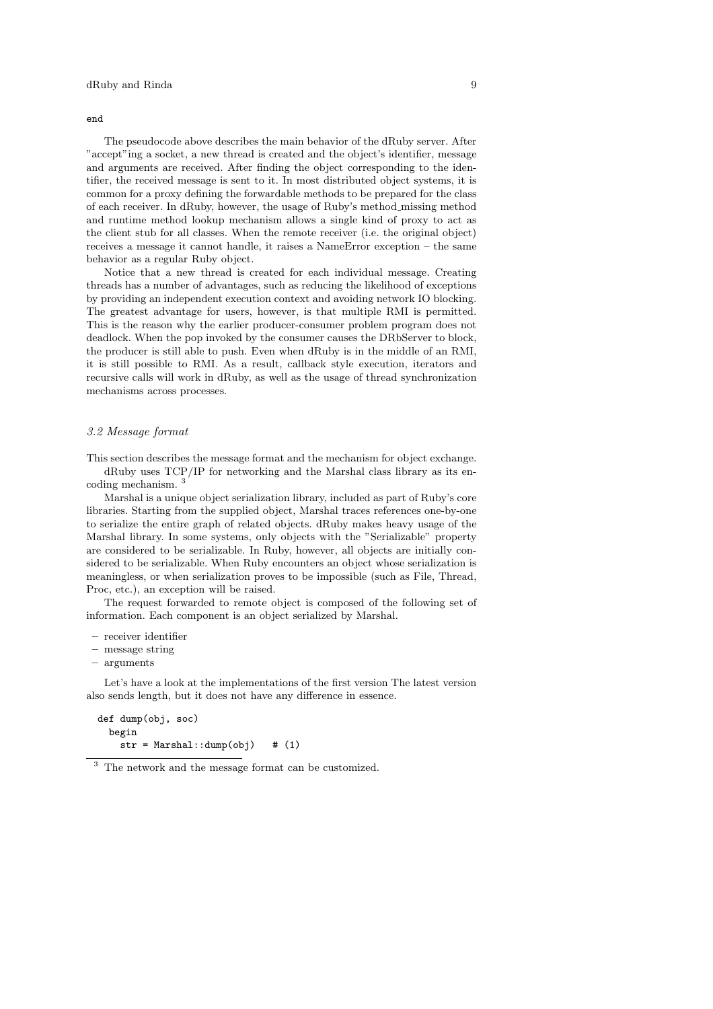end

The pseudocode above describes the main behavior of the dRuby server. After "accept"ing a socket, a new thread is created and the object's identifier, message and arguments are received. After finding the object corresponding to the identifier, the received message is sent to it. In most distributed object systems, it is common for a proxy defining the forwardable methods to be prepared for the class of each receiver. In dRuby, however, the usage of Ruby's method missing method and runtime method lookup mechanism allows a single kind of proxy to act as the client stub for all classes. When the remote receiver (i.e. the original object) receives a message it cannot handle, it raises a NameError exception – the same behavior as a regular Ruby object.

Notice that a new thread is created for each individual message. Creating threads has a number of advantages, such as reducing the likelihood of exceptions by providing an independent execution context and avoiding network IO blocking. The greatest advantage for users, however, is that multiple RMI is permitted. This is the reason why the earlier producer-consumer problem program does not deadlock. When the pop invoked by the consumer causes the DRbServer to block, the producer is still able to push. Even when dRuby is in the middle of an RMI, it is still possible to RMI. As a result, callback style execution, iterators and recursive calls will work in dRuby, as well as the usage of thread synchronization mechanisms across processes.

#### 3.2 Message format

This section describes the message format and the mechanism for object exchange. dRuby uses TCP/IP for networking and the Marshal class library as its en-

coding mechanism. Marshal is a unique object serialization library, included as part of Ruby's core

libraries. Starting from the supplied object, Marshal traces references one-by-one to serialize the entire graph of related objects. dRuby makes heavy usage of the Marshal library. In some systems, only objects with the "Serializable" property are considered to be serializable. In Ruby, however, all objects are initially considered to be serializable. When Ruby encounters an object whose serialization is meaningless, or when serialization proves to be impossible (such as File, Thread, Proc, etc.), an exception will be raised.

The request forwarded to remote object is composed of the following set of information. Each component is an object serialized by Marshal.

- receiver identifier
- message string
- arguments

Let's have a look at the implementations of the first version The latest version also sends length, but it does not have any difference in essence.

def dump(obj, soc) begin str = Marshal::dump(obj)  $# (1)$ 

<sup>&</sup>lt;sup>3</sup> The network and the message format can be customized.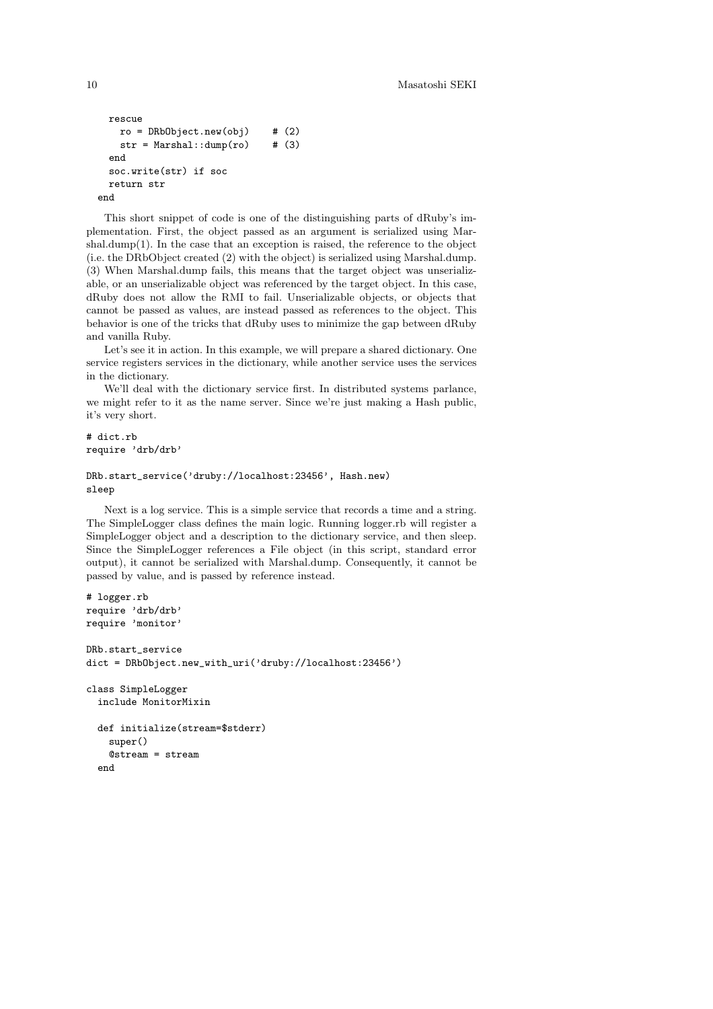```
rescue
   ro = DRb0bject.new(obj) # (2)
   str = Marshal::dump(ro) # (3)
 end
 soc.write(str) if soc
 return str
end
```
This short snippet of code is one of the distinguishing parts of dRuby's implementation. First, the object passed as an argument is serialized using Marshal.dump(1). In the case that an exception is raised, the reference to the object (i.e. the DRbObject created (2) with the object) is serialized using Marshal.dump. (3) When Marshal.dump fails, this means that the target object was unserializable, or an unserializable object was referenced by the target object. In this case, dRuby does not allow the RMI to fail. Unserializable objects, or objects that cannot be passed as values, are instead passed as references to the object. This behavior is one of the tricks that dRuby uses to minimize the gap between dRuby and vanilla Ruby.

Let's see it in action. In this example, we will prepare a shared dictionary. One service registers services in the dictionary, while another service uses the services in the dictionary.

We'll deal with the dictionary service first. In distributed systems parlance, we might refer to it as the name server. Since we're just making a Hash public, it's very short.

```
# dict.rb
require 'drb/drb'
```
### DRb.start\_service('druby://localhost:23456', Hash.new) sleep

Next is a log service. This is a simple service that records a time and a string. The SimpleLogger class defines the main logic. Running logger.rb will register a SimpleLogger object and a description to the dictionary service, and then sleep. Since the SimpleLogger references a File object (in this script, standard error output), it cannot be serialized with Marshal.dump. Consequently, it cannot be passed by value, and is passed by reference instead.

```
# logger.rb
require 'drb/drb'
require 'monitor'
DRb.start_service
dict = DRbObject.new_with_uri('druby://localhost:23456')
class SimpleLogger
  include MonitorMixin
  def initialize(stream=$stderr)
    super()
    @stream = stream
  end
```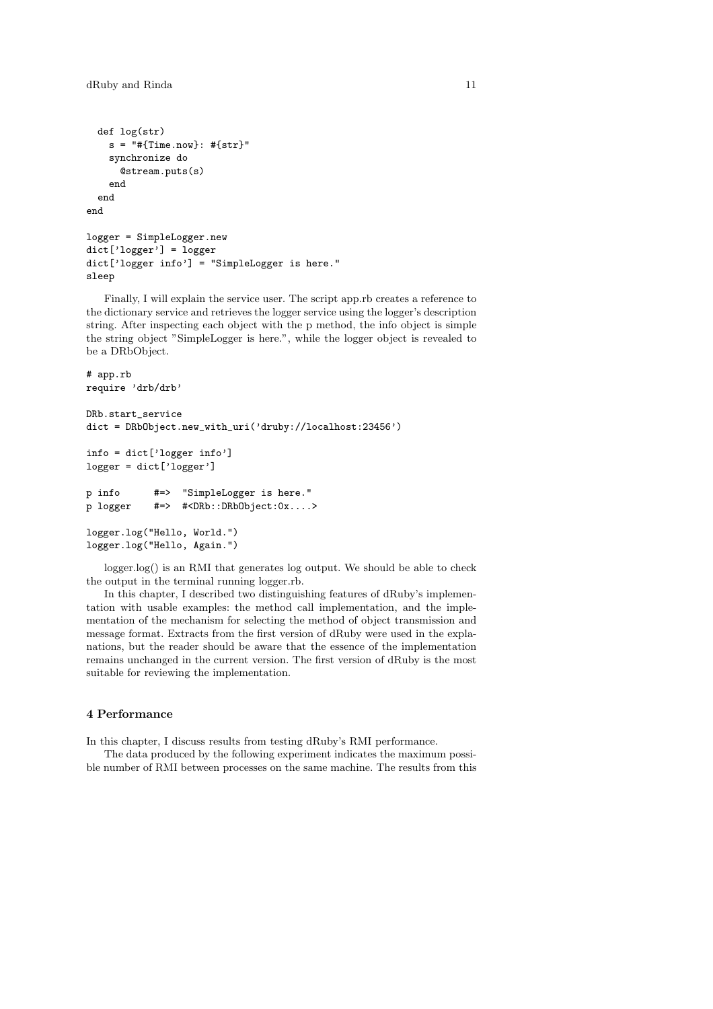```
def log(str)
    s = "#{Time.now}: #{str}"
    synchronize do
      @stream.puts(s)
    end
  end
end
logger = SimpleLogger.new
dict['logger'] = logger
dict['logger info'] = "SimpleLogger is here."
sleep
```
Finally, I will explain the service user. The script app.rb creates a reference to the dictionary service and retrieves the logger service using the logger's description string. After inspecting each object with the p method, the info object is simple the string object "SimpleLogger is here.", while the logger object is revealed to be a DRbObject.

```
# app.rb
require 'drb/drb'
DRb.start_service
dict = DRbObject.new_with_uri('druby://localhost:23456')
info = dict['logger info']
logger = dict['logger']
p info #=> "SimpleLogger is here."
p logger #=> #<DRb::DRbObject:0x....>
logger.log("Hello, World.")
logger.log("Hello, Again.")
```
logger.log() is an RMI that generates log output. We should be able to check the output in the terminal running logger.rb.

In this chapter, I described two distinguishing features of dRuby's implementation with usable examples: the method call implementation, and the implementation of the mechanism for selecting the method of object transmission and message format. Extracts from the first version of dRuby were used in the explanations, but the reader should be aware that the essence of the implementation remains unchanged in the current version. The first version of dRuby is the most suitable for reviewing the implementation.

# 4 Performance

In this chapter, I discuss results from testing dRuby's RMI performance.

The data produced by the following experiment indicates the maximum possible number of RMI between processes on the same machine. The results from this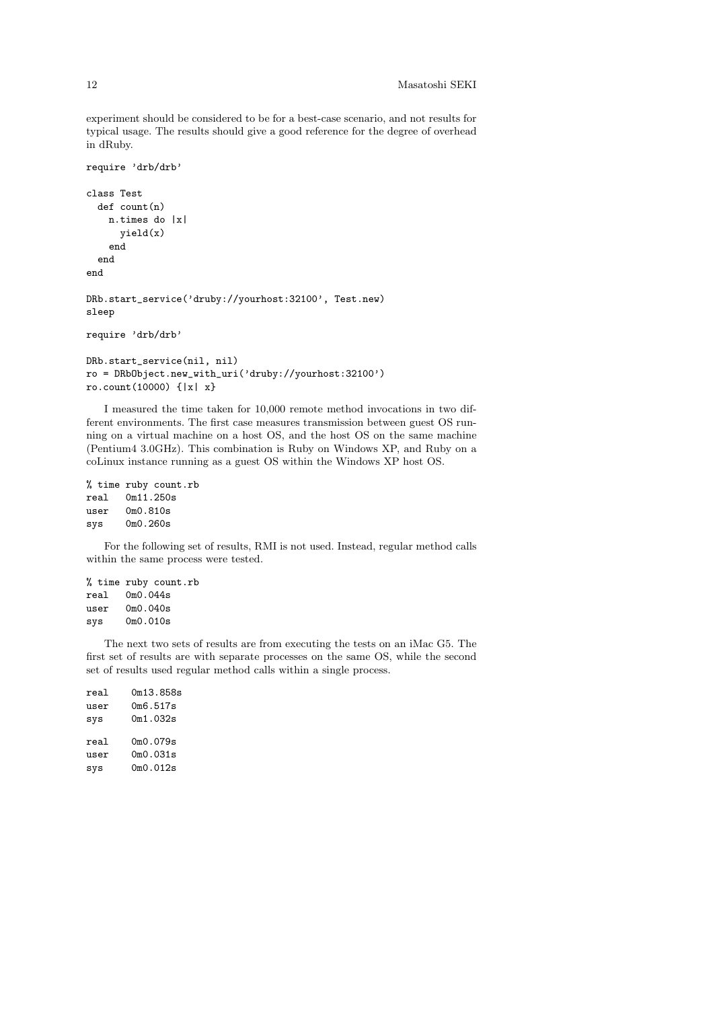experiment should be considered to be for a best-case scenario, and not results for typical usage. The results should give a good reference for the degree of overhead in dRuby.

```
require 'drb/drb'
class Test
  def count(n)n.times do |x|
      yield(x)
    end
  end
end
DRb.start_service('druby://yourhost:32100', Test.new)
sleep
require 'drb/drb'
DRb.start_service(nil, nil)
ro = DRbObject.new_with_uri('druby://yourhost:32100')
ro.count(10000) {|x| x}
```
I measured the time taken for 10,000 remote method invocations in two different environments. The first case measures transmission between guest OS running on a virtual machine on a host OS, and the host OS on the same machine (Pentium4 3.0GHz). This combination is Ruby on Windows XP, and Ruby on a coLinux instance running as a guest OS within the Windows XP host OS.

```
% time ruby count.rb
real 0m11.250s
user 0m0.810s
sys 0m0.260s
```
For the following set of results, RMI is not used. Instead, regular method calls within the same process were tested.

% time ruby count.rb real 0m0.044s user 0m0.040s sys 0m0.010s

The next two sets of results are from executing the tests on an iMac G5. The first set of results are with separate processes on the same OS, while the second set of results used regular method calls within a single process.

| real | 0m13.858s |
|------|-----------|
| user | 0m6.517s  |
| sys  | 0m1.032s  |
| real | 0m0.079s  |
|      |           |
| user | 0m0.031s  |
| sys  | 0m0.012s  |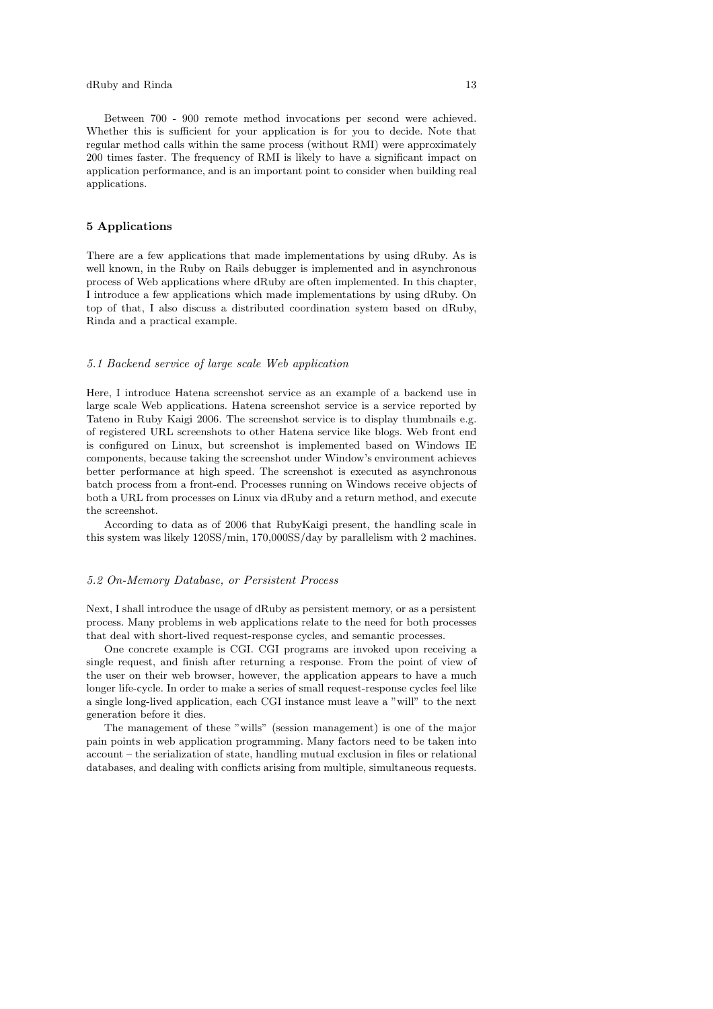Between 700 - 900 remote method invocations per second were achieved. Whether this is sufficient for your application is for you to decide. Note that regular method calls within the same process (without RMI) were approximately 200 times faster. The frequency of RMI is likely to have a significant impact on application performance, and is an important point to consider when building real applications.

#### 5 Applications

There are a few applications that made implementations by using dRuby. As is well known, in the Ruby on Rails debugger is implemented and in asynchronous process of Web applications where dRuby are often implemented. In this chapter, I introduce a few applications which made implementations by using dRuby. On top of that, I also discuss a distributed coordination system based on dRuby, Rinda and a practical example.

#### 5.1 Backend service of large scale Web application

Here, I introduce Hatena screenshot service as an example of a backend use in large scale Web applications. Hatena screenshot service is a service reported by Tateno in Ruby Kaigi 2006. The screenshot service is to display thumbnails e.g. of registered URL screenshots to other Hatena service like blogs. Web front end is configured on Linux, but screenshot is implemented based on Windows IE components, because taking the screenshot under Window's environment achieves better performance at high speed. The screenshot is executed as asynchronous batch process from a front-end. Processes running on Windows receive objects of both a URL from processes on Linux via dRuby and a return method, and execute the screenshot.

According to data as of 2006 that RubyKaigi present, the handling scale in this system was likely 120SS/min, 170,000SS/day by parallelism with 2 machines.

#### 5.2 On-Memory Database, or Persistent Process

Next, I shall introduce the usage of dRuby as persistent memory, or as a persistent process. Many problems in web applications relate to the need for both processes that deal with short-lived request-response cycles, and semantic processes.

One concrete example is CGI. CGI programs are invoked upon receiving a single request, and finish after returning a response. From the point of view of the user on their web browser, however, the application appears to have a much longer life-cycle. In order to make a series of small request-response cycles feel like a single long-lived application, each CGI instance must leave a "will" to the next generation before it dies.

The management of these "wills" (session management) is one of the major pain points in web application programming. Many factors need to be taken into account – the serialization of state, handling mutual exclusion in files or relational databases, and dealing with conflicts arising from multiple, simultaneous requests.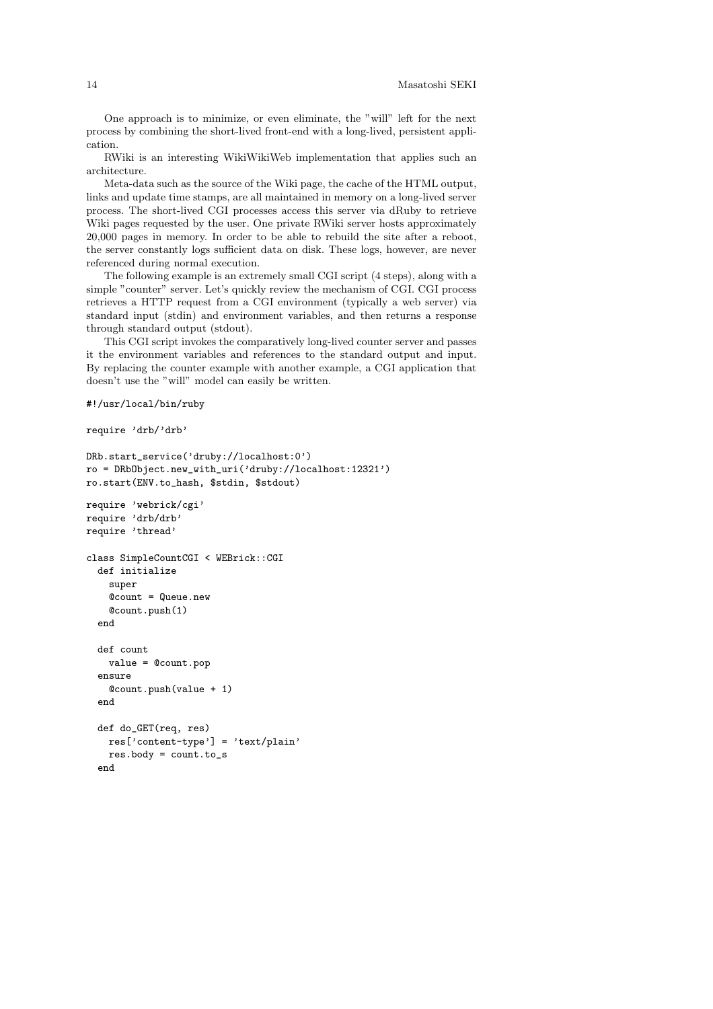One approach is to minimize, or even eliminate, the "will" left for the next process by combining the short-lived front-end with a long-lived, persistent application.

RWiki is an interesting WikiWikiWeb implementation that applies such an architecture.

Meta-data such as the source of the Wiki page, the cache of the HTML output, links and update time stamps, are all maintained in memory on a long-lived server process. The short-lived CGI processes access this server via dRuby to retrieve Wiki pages requested by the user. One private RWiki server hosts approximately 20,000 pages in memory. In order to be able to rebuild the site after a reboot, the server constantly logs sufficient data on disk. These logs, however, are never referenced during normal execution.

The following example is an extremely small CGI script (4 steps), along with a simple "counter" server. Let's quickly review the mechanism of CGI. CGI process retrieves a HTTP request from a CGI environment (typically a web server) via standard input (stdin) and environment variables, and then returns a response through standard output (stdout).

This CGI script invokes the comparatively long-lived counter server and passes it the environment variables and references to the standard output and input. By replacing the counter example with another example, a CGI application that doesn't use the "will" model can easily be written.

#!/usr/local/bin/ruby

```
require 'drb/'drb'
```

```
DRb.start_service('druby://localhost:0')
ro = DRbObject.new_with_uri('druby://localhost:12321')
ro.start(ENV.to_hash, $stdin, $stdout)
require 'webrick/cgi'
require 'drb/drb'
require 'thread'
class SimpleCountCGI < WEBrick::CGI
 def initialize
    super
    @count = Queue.new
    @count.push(1)
  end
  def count
   value = @count.pop
  ensure
    @count.push(value + 1)
  end
  def do_GET(req, res)
   res['content-type'] = 'text/plain'
   res.body = count.to_s
  end
```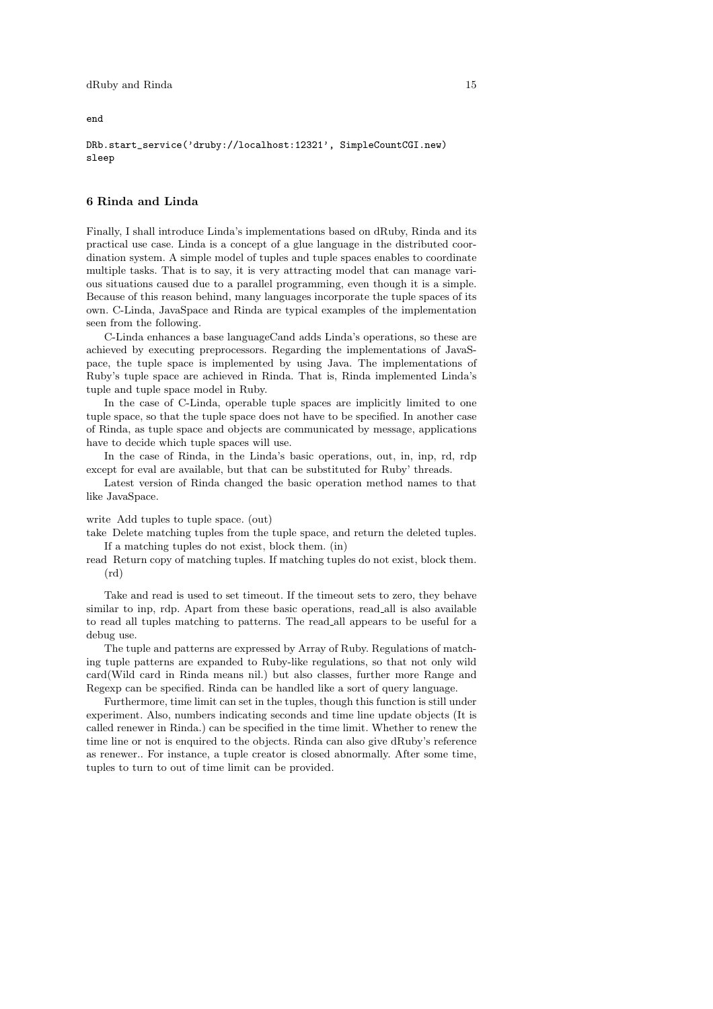end

DRb.start\_service('druby://localhost:12321', SimpleCountCGI.new) sleep

# 6 Rinda and Linda

Finally, I shall introduce Linda's implementations based on dRuby, Rinda and its practical use case. Linda is a concept of a glue language in the distributed coordination system. A simple model of tuples and tuple spaces enables to coordinate multiple tasks. That is to say, it is very attracting model that can manage various situations caused due to a parallel programming, even though it is a simple. Because of this reason behind, many languages incorporate the tuple spaces of its own. C-Linda, JavaSpace and Rinda are typical examples of the implementation seen from the following.

C-Linda enhances a base languageCand adds Linda's operations, so these are achieved by executing preprocessors. Regarding the implementations of JavaSpace, the tuple space is implemented by using Java. The implementations of Ruby's tuple space are achieved in Rinda. That is, Rinda implemented Linda's tuple and tuple space model in Ruby.

In the case of C-Linda, operable tuple spaces are implicitly limited to one tuple space, so that the tuple space does not have to be specified. In another case of Rinda, as tuple space and objects are communicated by message, applications have to decide which tuple spaces will use.

In the case of Rinda, in the Linda's basic operations, out, in, inp, rd, rdp except for eval are available, but that can be substituted for Ruby' threads.

Latest version of Rinda changed the basic operation method names to that like JavaSpace.

write Add tuples to tuple space. (out)

take Delete matching tuples from the tuple space, and return the deleted tuples. If a matching tuples do not exist, block them. (in)

read Return copy of matching tuples. If matching tuples do not exist, block them. (rd)

Take and read is used to set timeout. If the timeout sets to zero, they behave similar to inp, rdp. Apart from these basic operations, read all is also available to read all tuples matching to patterns. The read all appears to be useful for a debug use.

The tuple and patterns are expressed by Array of Ruby. Regulations of matching tuple patterns are expanded to Ruby-like regulations, so that not only wild card(Wild card in Rinda means nil.) but also classes, further more Range and Regexp can be specified. Rinda can be handled like a sort of query language.

Furthermore, time limit can set in the tuples, though this function is still under experiment. Also, numbers indicating seconds and time line update objects (It is called renewer in Rinda.) can be specified in the time limit. Whether to renew the time line or not is enquired to the objects. Rinda can also give dRuby's reference as renewer.. For instance, a tuple creator is closed abnormally. After some time, tuples to turn to out of time limit can be provided.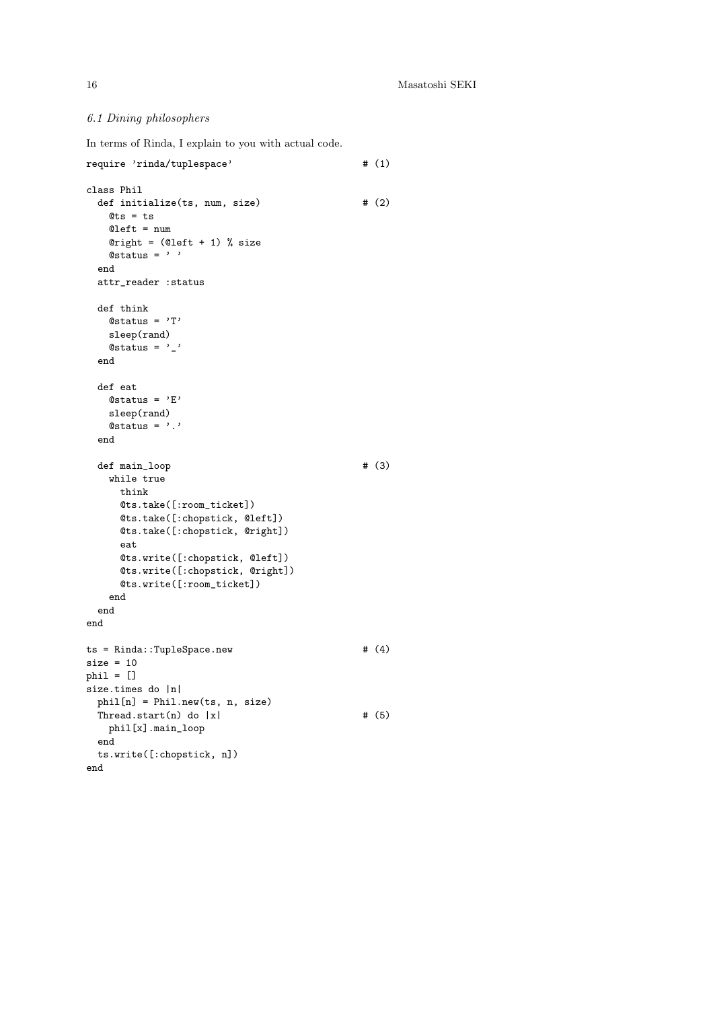# 6.1 Dining philosophers

In terms of Rinda, I explain to you with actual code.

```
require 'rinda/tuplespace' # (1)
class Phil
 def initialize(ts, num, size) # (2)@ts = ts
   @left = num
   Oright = (Qleft + 1) % size
   @status = 'end
 attr_reader :status
 def think
   @status = 'T'sleep(rand)
   @status = 'end
 def eat
  @status = 'E'sleep(rand)
   @status = '.'end
 def \ main\_loop # (3)while true
     think
     @ts.take([:room_ticket])
     @ts.take([:chopstick, @left])
     @ts.take([:chopstick, @right])
     eat
     @ts.write([:chopstick, @left])
     @ts.write([:chopstick, @right])
     @ts.write([:room_ticket])
   end
 end
end
ts = Rinda: TupleSpace.new # (4)size = 10phi1 = []size.times do |n|
 phil[n] = Phil.new(ts, n, size)
 Thread.start(n) do |x| # (5)
  phil[x].main_loop
 end
 ts.write([:chopstick, n])
end
```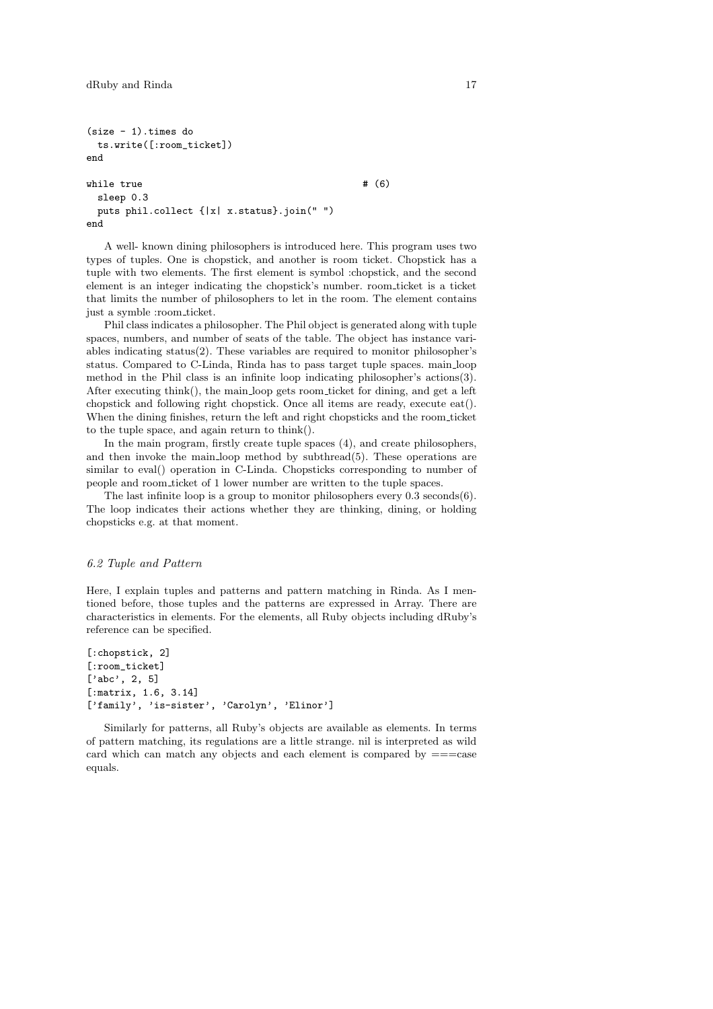```
(size - 1).times do
    ts.write([:room_ticket])
end
while true \qquad \qquad \qquad \qquad \qquad \qquad \qquad \qquad \qquad \qquad \qquad \qquad \qquad \qquad \qquad \qquad \qquad \qquad \qquad \qquad \qquad \qquad \qquad \qquad \qquad \qquad \qquad \qquad \qquad \qquad \qquad \qquad \qquad \qquad \qquad 
    sleep 0.3
    puts phil.collect {|x| x.status}.join(" ")
end
```
A well- known dining philosophers is introduced here. This program uses two types of tuples. One is chopstick, and another is room ticket. Chopstick has a tuple with two elements. The first element is symbol :chopstick, and the second element is an integer indicating the chopstick's number. room ticket is a ticket that limits the number of philosophers to let in the room. The element contains just a symble :room ticket.

Phil class indicates a philosopher. The Phil object is generated along with tuple spaces, numbers, and number of seats of the table. The object has instance variables indicating status(2). These variables are required to monitor philosopher's status. Compared to C-Linda, Rinda has to pass target tuple spaces. main loop method in the Phil class is an infinite loop indicating philosopher's actions(3). After executing think(), the main loop gets room ticket for dining, and get a left chopstick and following right chopstick. Once all items are ready, execute eat(). When the dining finishes, return the left and right chopsticks and the room ticket to the tuple space, and again return to think().

In the main program, firstly create tuple spaces (4), and create philosophers, and then invoke the main loop method by subthread $(5)$ . These operations are similar to eval() operation in C-Linda. Chopsticks corresponding to number of people and room ticket of 1 lower number are written to the tuple spaces.

The last infinite loop is a group to monitor philosophers every  $0.3$  seconds $(6)$ . The loop indicates their actions whether they are thinking, dining, or holding chopsticks e.g. at that moment.

#### 6.2 Tuple and Pattern

Here, I explain tuples and patterns and pattern matching in Rinda. As I mentioned before, those tuples and the patterns are expressed in Array. There are characteristics in elements. For the elements, all Ruby objects including dRuby's reference can be specified.

```
[:chopstick, 2]
[:room_ticket]
['abc', 2, 5]
[:matrix, 1.6, 3.14]
['family', 'is-sister', 'Carolyn', 'Elinor']
```
Similarly for patterns, all Ruby's objects are available as elements. In terms of pattern matching, its regulations are a little strange. nil is interpreted as wild card which can match any objects and each element is compared by  $==-\text{case}$ equals.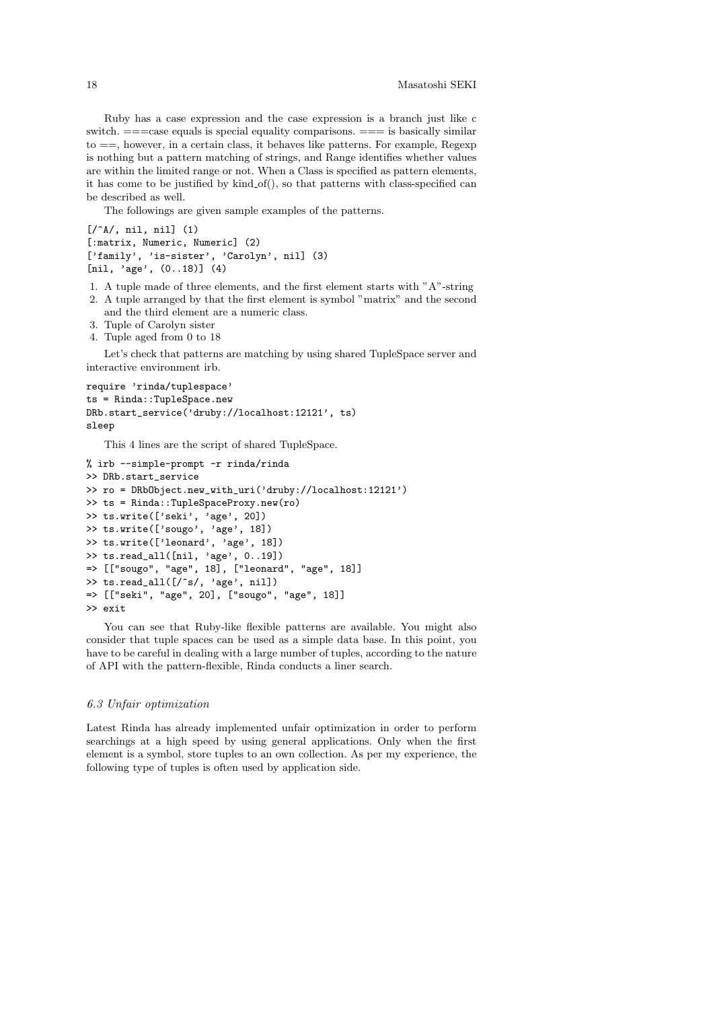Ruby has a case expression and the case expression is a branch just like c switch.  $==-$ case equals is special equality comparisons.  $===$  is basically similar  $to ==$ , however, in a certain class, it behaves like patterns. For example, Regexp is nothing but a pattern matching of strings, and Range identifies whether values are within the limited range or not. When a Class is specified as pattern elements, it has come to be justified by kind of(), so that patterns with class-specified can be described as well.

The followings are given sample examples of the patterns.

```
[\texttt{/}^{\wedge}A\texttt{/}, \texttt{nil}, \texttt{nil}] (1)
[:matrix, Numeric, Numeric] (2)
['family', 'is-sister', 'Carolyn', nil] (3)
[nil, 'age', (0..18)] (4)
```
- 1. A tuple made of three elements, and the first element starts with "A"-string
- 2. A tuple arranged by that the first element is symbol "matrix" and the second and the third element are a numeric class.
- 3. Tuple of Carolyn sister
- 4. Tuple aged from 0 to 18

Let's check that patterns are matching by using shared TupleSpace server and interactive environment irb.

```
require 'rinda/tuplespace'
ts = Rinda::TupleSpace.new
DRb.start_service('druby://localhost:12121', ts)
sleep
```
This 4 lines are the script of shared TupleSpace.

```
% irb --simple-prompt -r rinda/rinda
>> DRb.start_service
>> ro = DRbObject.new_with_uri('druby://localhost:12121')
>> ts = Rinda::TupleSpaceProxy.new(ro)
>> ts.write(['seki', 'age', 20])
>> ts.write(['sougo', 'age', 18])
>> ts.write(['leonard', 'age', 18])
>> ts.read_all([nil, 'age', 0..19])
=> [["sougo", "age", 18], ["leonard", "age", 18]]
>> ts.read_all([/^s/, 'age', nil])
=> [["seki", "age", 20], ["sougo", "age", 18]]
>> exit
```
You can see that Ruby-like flexible patterns are available. You might also consider that tuple spaces can be used as a simple data base. In this point, you have to be careful in dealing with a large number of tuples, according to the nature of API with the pattern-flexible, Rinda conducts a liner search.

#### 6.3 Unfair optimization

Latest Rinda has already implemented unfair optimization in order to perform searchings at a high speed by using general applications. Only when the first element is a symbol, store tuples to an own collection. As per my experience, the following type of tuples is often used by application side.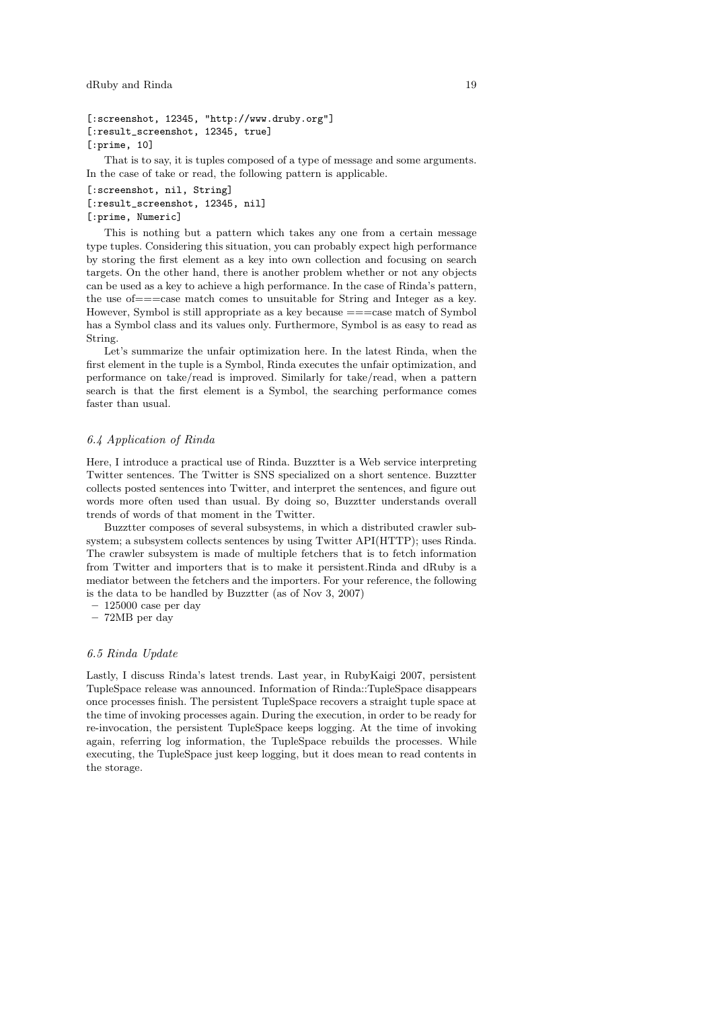```
[:screenshot, 12345, "http://www.druby.org"]
[:result_screenshot, 12345, true]
[:prime, 10]
```
That is to say, it is tuples composed of a type of message and some arguments. In the case of take or read, the following pattern is applicable.

```
[:screenshot, nil, String]
[:result_screenshot, 12345, nil]
[:prime, Numeric]
```
This is nothing but a pattern which takes any one from a certain message type tuples. Considering this situation, you can probably expect high performance by storing the first element as a key into own collection and focusing on search targets. On the other hand, there is another problem whether or not any objects can be used as a key to achieve a high performance. In the case of Rinda's pattern, the use of===case match comes to unsuitable for String and Integer as a key. However, Symbol is still appropriate as a key because ===case match of Symbol has a Symbol class and its values only. Furthermore, Symbol is as easy to read as String.

Let's summarize the unfair optimization here. In the latest Rinda, when the first element in the tuple is a Symbol, Rinda executes the unfair optimization, and performance on take/read is improved. Similarly for take/read, when a pattern search is that the first element is a Symbol, the searching performance comes faster than usual.

#### 6.4 Application of Rinda

Here, I introduce a practical use of Rinda. Buzztter is a Web service interpreting Twitter sentences. The Twitter is SNS specialized on a short sentence. Buzztter collects posted sentences into Twitter, and interpret the sentences, and figure out words more often used than usual. By doing so, Buzztter understands overall trends of words of that moment in the Twitter.

Buzztter composes of several subsystems, in which a distributed crawler subsystem; a subsystem collects sentences by using Twitter API(HTTP); uses Rinda. The crawler subsystem is made of multiple fetchers that is to fetch information from Twitter and importers that is to make it persistent.Rinda and dRuby is a mediator between the fetchers and the importers. For your reference, the following is the data to be handled by Buzztter (as of Nov 3, 2007)

– 125000 case per day

– 72MB per day

#### 6.5 Rinda Update

Lastly, I discuss Rinda's latest trends. Last year, in RubyKaigi 2007, persistent TupleSpace release was announced. Information of Rinda::TupleSpace disappears once processes finish. The persistent TupleSpace recovers a straight tuple space at the time of invoking processes again. During the execution, in order to be ready for re-invocation, the persistent TupleSpace keeps logging. At the time of invoking again, referring log information, the TupleSpace rebuilds the processes. While executing, the TupleSpace just keep logging, but it does mean to read contents in the storage.